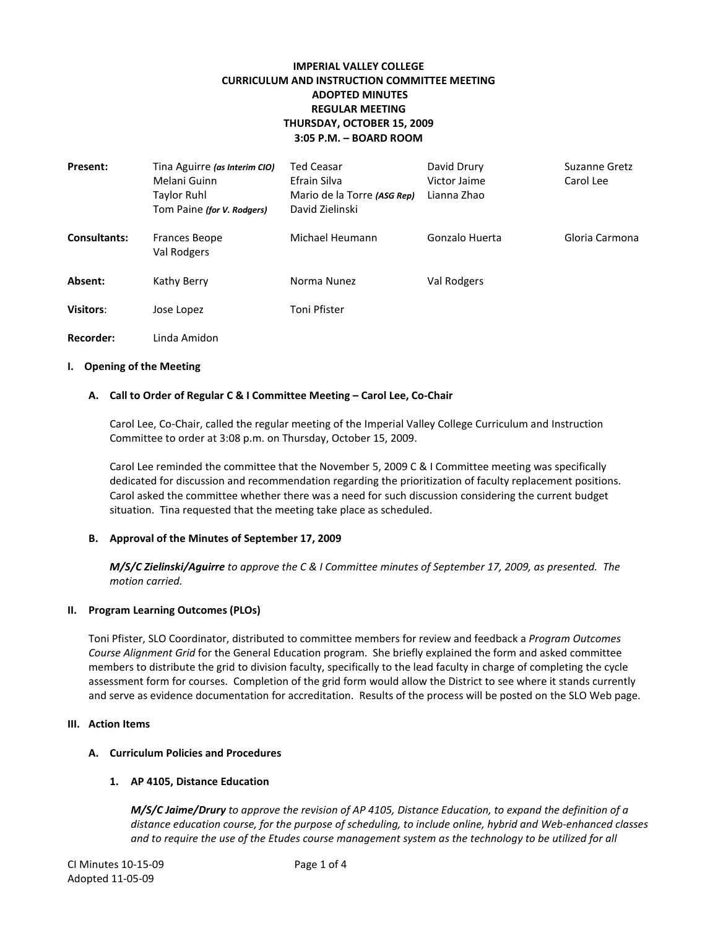# **IMPERIAL VALLEY COLLEGE CURRICULUM AND INSTRUCTION COMMITTEE MEETING ADOPTED MINUTES REGULAR MEETING THURSDAY, OCTOBER 15, 2009 3:05 P.M. – BOARD ROOM**

| Present:            | Tina Aguirre (as Interim CIO)<br>Melani Guinn<br><b>Taylor Ruhl</b><br>Tom Paine (for V. Rodgers) | Ted Ceasar<br>Efrain Silva<br>Mario de la Torre (ASG Rep)<br>David Zielinski | David Drury<br>Victor Jaime<br>Lianna Zhao | Suzanne Gretz<br>Carol Lee |
|---------------------|---------------------------------------------------------------------------------------------------|------------------------------------------------------------------------------|--------------------------------------------|----------------------------|
| <b>Consultants:</b> | <b>Frances Beope</b><br>Val Rodgers                                                               | Michael Heumann                                                              | Gonzalo Huerta                             | Gloria Carmona             |
| Absent:             | Kathy Berry                                                                                       | Norma Nunez                                                                  | Val Rodgers                                |                            |
| Visitors:           | Jose Lopez                                                                                        | Toni Pfister                                                                 |                                            |                            |
| Recorder:           | Linda Amidon                                                                                      |                                                                              |                                            |                            |

#### **I. Opening of the Meeting**

#### **A. Call to Order of Regular C & I Committee Meeting – Carol Lee, Co-Chair**

Carol Lee, Co-Chair, called the regular meeting of the Imperial Valley College Curriculum and Instruction Committee to order at 3:08 p.m. on Thursday, October 15, 2009.

Carol Lee reminded the committee that the November 5, 2009 C & I Committee meeting was specifically dedicated for discussion and recommendation regarding the prioritization of faculty replacement positions. Carol asked the committee whether there was a need for such discussion considering the current budget situation. Tina requested that the meeting take place as scheduled.

### **B. Approval of the Minutes of September 17, 2009**

*M/S/C Zielinski/Aguirre to approve the C & I Committee minutes of September 17, 2009, as presented. The motion carried.*

#### **II. Program Learning Outcomes (PLOs)**

Toni Pfister, SLO Coordinator, distributed to committee members for review and feedback a *Program Outcomes Course Alignment Grid* for the General Education program. She briefly explained the form and asked committee members to distribute the grid to division faculty, specifically to the lead faculty in charge of completing the cycle assessment form for courses. Completion of the grid form would allow the District to see where it stands currently and serve as evidence documentation for accreditation. Results of the process will be posted on the SLO Web page.

#### **III. Action Items**

## **A. Curriculum Policies and Procedures**

### **1. AP 4105, Distance Education**

*M/S/C Jaime/Drury to approve the revision of AP 4105, Distance Education, to expand the definition of a distance education course, for the purpose of scheduling, to include online, hybrid and Web-enhanced classes and to require the use of the Etudes course management system as the technology to be utilized for all*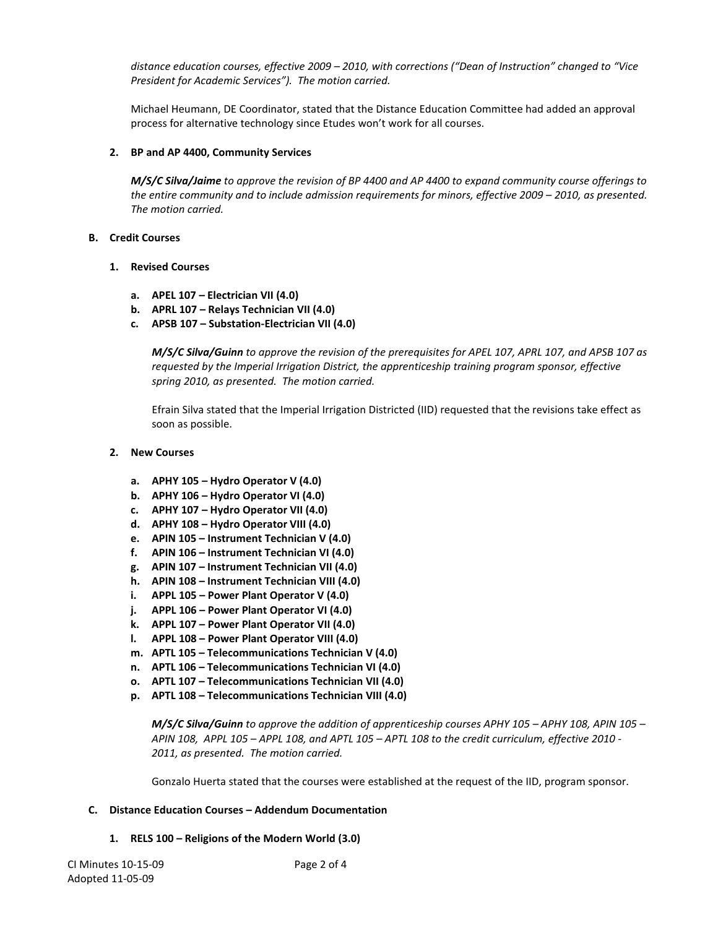*distance education courses, effective 2009 – 2010, with corrections ("Dean of Instruction" changed to "Vice President for Academic Services"). The motion carried.*

Michael Heumann, DE Coordinator, stated that the Distance Education Committee had added an approval process for alternative technology since Etudes won't work for all courses.

# **2. BP and AP 4400, Community Services**

*M/S/C Silva/Jaime to approve the revision of BP 4400 and AP 4400 to expand community course offerings to the entire community and to include admission requirements for minors, effective 2009 – 2010, as presented. The motion carried.*

### **B. Credit Courses**

# **1. Revised Courses**

- **a. APEL 107 – Electrician VII (4.0)**
- **b. APRL 107 – Relays Technician VII (4.0)**
- **c. APSB 107 – Substation-Electrician VII (4.0)**

*M/S/C Silva/Guinn to approve the revision of the prerequisites for APEL 107, APRL 107, and APSB 107 as requested by the Imperial Irrigation District, the apprenticeship training program sponsor, effective spring 2010, as presented. The motion carried.*

Efrain Silva stated that the Imperial Irrigation Districted (IID) requested that the revisions take effect as soon as possible.

# **2. New Courses**

- **a. APHY 105 – Hydro Operator V (4.0)**
- **b. APHY 106 – Hydro Operator VI (4.0)**
- **c. APHY 107 – Hydro Operator VII (4.0)**
- **d. APHY 108 – Hydro Operator VIII (4.0)**
- **e. APIN 105 – Instrument Technician V (4.0)**
- **f. APIN 106 – Instrument Technician VI (4.0)**
- **g. APIN 107 – Instrument Technician VII (4.0)**
- **h. APIN 108 – Instrument Technician VIII (4.0)**
- **i. APPL 105 – Power Plant Operator V (4.0)**
- **j. APPL 106 – Power Plant Operator VI (4.0)**
- **k. APPL 107 – Power Plant Operator VII (4.0)**
- **l. APPL 108 – Power Plant Operator VIII (4.0)**
- **m. APTL 105 – Telecommunications Technician V (4.0)**
- **n. APTL 106 – Telecommunications Technician VI (4.0)**
- **o. APTL 107 – Telecommunications Technician VII (4.0)**
- **p. APTL 108 – Telecommunications Technician VIII (4.0)**

*M/S/C Silva/Guinn to approve the addition of apprenticeship courses APHY 105 – APHY 108, APIN 105 – APIN 108, APPL 105 – APPL 108, and APTL 105 – APTL 108 to the credit curriculum, effective 2010 - 2011, as presented. The motion carried.*

Gonzalo Huerta stated that the courses were established at the request of the IID, program sponsor.

### **C. Distance Education Courses – Addendum Documentation**

**1. RELS 100 – Religions of the Modern World (3.0)**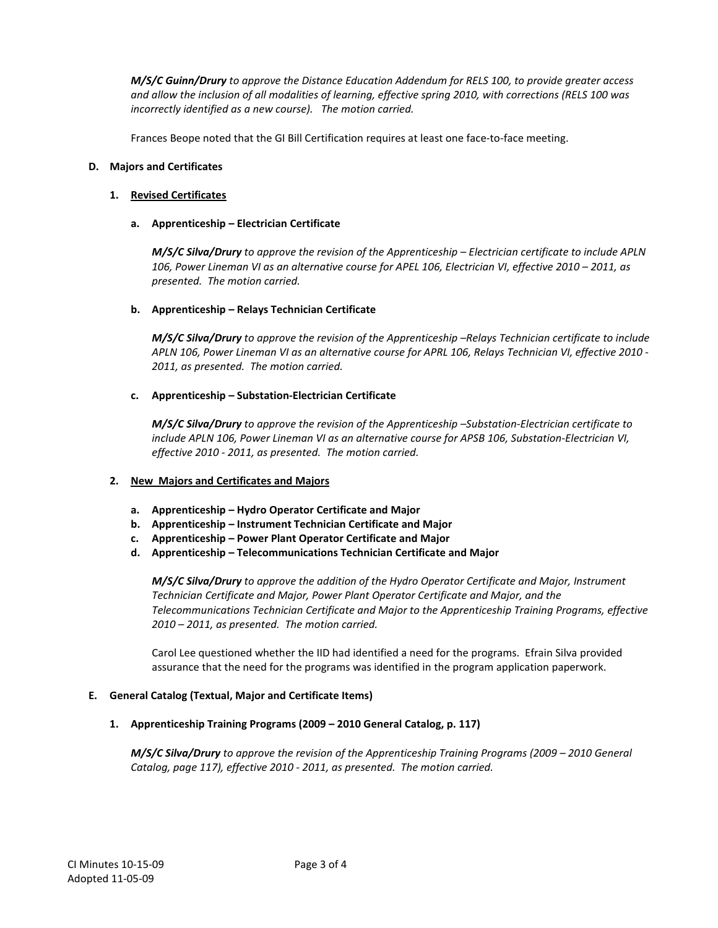*M/S/C Guinn/Drury to approve the Distance Education Addendum for RELS 100, to provide greater access and allow the inclusion of all modalities of learning, effective spring 2010, with corrections (RELS 100 was incorrectly identified as a new course). The motion carried.*

Frances Beope noted that the GI Bill Certification requires at least one face-to-face meeting.

### **D. Majors and Certificates**

# **1. Revised Certificates**

## **a. Apprenticeship – Electrician Certificate**

*M/S/C Silva/Drury to approve the revision of the Apprenticeship – Electrician certificate to include APLN 106, Power Lineman VI as an alternative course for APEL 106, Electrician VI, effective 2010 – 2011, as presented. The motion carried.*

# **b. Apprenticeship – Relays Technician Certificate**

*M/S/C Silva/Drury to approve the revision of the Apprenticeship –Relays Technician certificate to include APLN 106, Power Lineman VI as an alternative course for APRL 106, Relays Technician VI, effective 2010 - 2011, as presented. The motion carried.*

# **c. Apprenticeship – Substation-Electrician Certificate**

*M/S/C Silva/Drury to approve the revision of the Apprenticeship –Substation-Electrician certificate to include APLN 106, Power Lineman VI as an alternative course for APSB 106, Substation-Electrician VI, effective 2010 - 2011, as presented. The motion carried.*

### **2. New Majors and Certificates and Majors**

- **a. Apprenticeship – Hydro Operator Certificate and Major**
- **b. Apprenticeship – Instrument Technician Certificate and Major**
- **c. Apprenticeship – Power Plant Operator Certificate and Major**
- **d. Apprenticeship – Telecommunications Technician Certificate and Major**

*M/S/C Silva/Drury to approve the addition of the Hydro Operator Certificate and Major, Instrument Technician Certificate and Major, Power Plant Operator Certificate and Major, and the Telecommunications Technician Certificate and Major to the Apprenticeship Training Programs, effective 2010 – 2011, as presented. The motion carried.*

Carol Lee questioned whether the IID had identified a need for the programs. Efrain Silva provided assurance that the need for the programs was identified in the program application paperwork.

### **E. General Catalog (Textual, Major and Certificate Items)**

### **1. Apprenticeship Training Programs (2009 – 2010 General Catalog, p. 117)**

*M/S/C Silva/Drury to approve the revision of the Apprenticeship Training Programs (2009 – 2010 General Catalog, page 117), effective 2010 - 2011, as presented. The motion carried.*